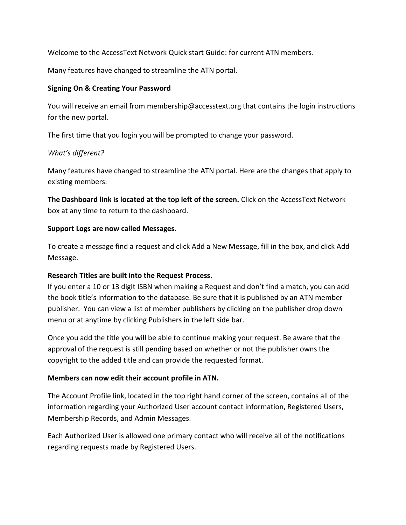Welcome to the AccessText Network Quick start Guide: for current ATN members.

Many features have changed to streamline the ATN portal.

### **Signing On & Creating Your Password**

You will receive an email from [membership@accesstext.org](mailto:membership@accesstext.org) that contains the login instructions for the new portal.

The first time that you login you will be prompted to change your password.

## *What's different?*

Many features have changed to streamline the ATN portal. Here are the changes that apply to existing members:

**The Dashboard link is located at the top left of the screen.** Click on the AccessText Network box at any time to return to the dashboard.

## **Support Logs are now called Messages.**

To create a message find a request and click Add a New Message, fill in the box, and click Add Message.

## **Research Titles are built into the Request Process.**

If you enter a 10 or 13 digit ISBN when making a Request and don't find a match, you can add the book title's information to the database. Be sure that it is published by an ATN member publisher. You can view a list of member publishers by clicking on the publisher drop down menu or at anytime by clicking Publishers in the left side bar.

Once you add the title you will be able to continue making your request. Be aware that the approval of the request is still pending based on whether or not the publisher owns the copyright to the added title and can provide the requested format.

## **Members can now edit their account profile in ATN.**

The Account Profile link, located in the top right hand corner of the screen, contains all of the information regarding your Authorized User account contact information, Registered Users, Membership Records, and Admin Messages.

Each Authorized User is allowed one primary contact who will receive all of the notifications regarding requests made by Registered Users.